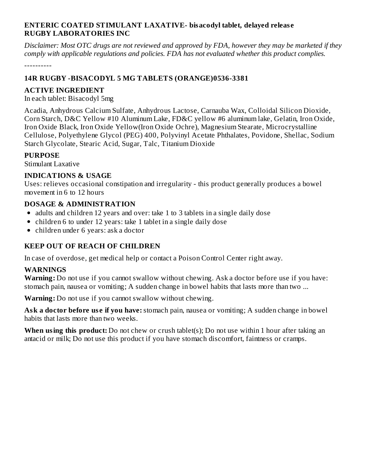#### **ENTERIC COATED STIMULANT LAXATIVE- bisacodyl tablet, delayed releas e RUGBY LABORATORIES INC**

Disclaimer: Most OTC drugs are not reviewed and approved by FDA, however they may be marketed if they *comply with applicable regulations and policies. FDA has not evaluated whether this product complies.*

----------

### **14R RUGBY -BISACODYL 5 MG TABLETS (ORANGE)0536-3381**

#### **ACTIVE INGREDIENT**

In each tablet: Bisacodyl 5mg

Acadia, Anhydrous Calcium Sulfate, Anhydrous Lactose, Carnauba Wax, Colloidal Silicon Dioxide, Corn Starch, D&C Yellow #10 Aluminum Lake, FD&C yellow #6 aluminum lake, Gelatin, Iron Oxide, Iron Oxide Black, Iron Oxide Yellow(Iron Oxide Ochre), Magnesium Stearate, Microcrystalline Cellulose, Polyethylene Glycol (PEG) 400, Polyvinyl Acetate Phthalates, Povidone, Shellac, Sodium Starch Glycolate, Stearic Acid, Sugar, Talc, Titanium Dioxide

#### **PURPOSE**

Stimulant Laxative

#### **INDICATIONS & USAGE**

Uses: relieves occasional constipation and irregularity - this product generally produces a bowel movement in 6 to 12 hours

#### **DOSAGE & ADMINISTRATION**

- adults and children 12 years and over: take 1 to 3 tablets in a single daily dose
- children 6 to under 12 years: take 1 tablet in a single daily dose
- children under 6 years: ask a doctor

## **KEEP OUT OF REACH OF CHILDREN**

In case of overdose, get medical help or contact a Poison Control Center right away.

#### **WARNINGS**

**Warning:** Do not use if you cannot swallow without chewing. Ask a doctor before use if you have: stomach pain, nausea or vomiting; A sudden change in bowel habits that lasts more than two ...

**Warning:** Do not use if you cannot swallow without chewing.

**Ask a doctor before use if you have:** stomach pain, nausea or vomiting; A sudden change in bowel habits that lasts more than two weeks.

**When using this product:** Do not chew or crush tablet(s); Do not use within 1 hour after taking an antacid or milk; Do not use this product if you have stomach discomfort, faintness or cramps.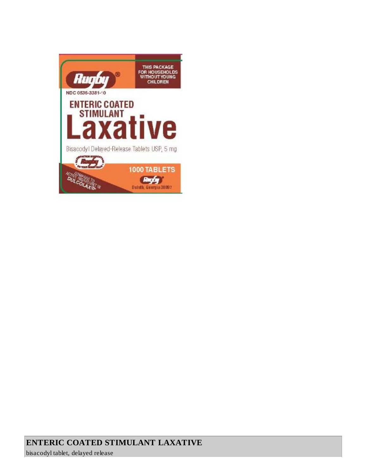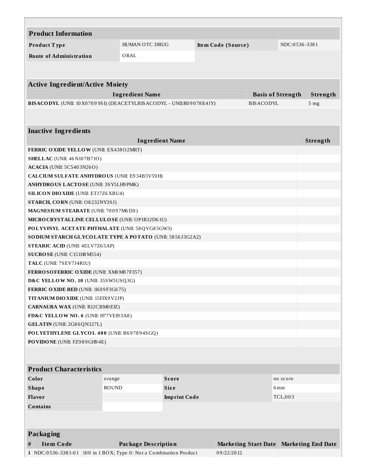| <b>Product Information</b>                                                      |              |                            |                     |  |                    |                          |          |                                         |  |  |
|---------------------------------------------------------------------------------|--------------|----------------------------|---------------------|--|--------------------|--------------------------|----------|-----------------------------------------|--|--|
| Product Type                                                                    |              | HUMAN OTC DRUG             |                     |  | Item Code (Source) |                          |          | NDC:0536-3381                           |  |  |
| <b>Route of Administration</b>                                                  |              | ORAL                       |                     |  |                    |                          |          |                                         |  |  |
|                                                                                 |              |                            |                     |  |                    |                          |          |                                         |  |  |
|                                                                                 |              |                            |                     |  |                    |                          |          |                                         |  |  |
| <b>Active Ingredient/Active Moiety</b>                                          |              |                            |                     |  |                    |                          |          |                                         |  |  |
|                                                                                 |              | <b>Ingredient Name</b>     |                     |  |                    | <b>Basis of Strength</b> |          | Strength                                |  |  |
| BISACODYL (UNII: 10X0709Y6I) (DEACETYLBISACODYL - UNII:R09078E41Y)              |              |                            |                     |  |                    | <b>BISACODYL</b>         |          | 5 <sub>mg</sub>                         |  |  |
|                                                                                 |              |                            |                     |  |                    |                          |          |                                         |  |  |
|                                                                                 |              |                            |                     |  |                    |                          |          |                                         |  |  |
| <b>Inactive Ingredients</b>                                                     |              |                            |                     |  |                    |                          |          |                                         |  |  |
|                                                                                 |              | <b>Ingredient Name</b>     |                     |  |                    |                          |          | Strength                                |  |  |
| FERRIC OXIDE YELLOW (UNII: EX43802MRT)                                          |              |                            |                     |  |                    |                          |          |                                         |  |  |
| <b>SHELLAC</b> (UNII: 46 N107B71O)                                              |              |                            |                     |  |                    |                          |          |                                         |  |  |
| <b>ACACIA</b> (UNII: 5C5403N26O)                                                |              |                            |                     |  |                    |                          |          |                                         |  |  |
| CALCIUM SULFATE ANHYDROUS (UNII: E934B3V59H)                                    |              |                            |                     |  |                    |                          |          |                                         |  |  |
| ANHYDROUS LACTOSE (UNII: 3SY5LH9 PMK)                                           |              |                            |                     |  |                    |                          |          |                                         |  |  |
| <b>SILICON DIO XIDE (UNII: ETJ7Z6 XBU4)</b>                                     |              |                            |                     |  |                    |                          |          |                                         |  |  |
| STARCH, CORN (UNII: O8232NY3SJ)                                                 |              |                            |                     |  |                    |                          |          |                                         |  |  |
| MAGNESIUM STEARATE (UNII: 70097M6I30)                                           |              |                            |                     |  |                    |                          |          |                                         |  |  |
| MICRO CRYSTALLINE CELLULO SE (UNII: OP1R32D61U)                                 |              |                            |                     |  |                    |                          |          |                                         |  |  |
| POLYVINYL ACETATE PHTHALATE (UNII: 58QVG85GW3)                                  |              |                            |                     |  |                    |                          |          |                                         |  |  |
| SODIUM STARCH GLYCOLATE TYPE A POTATO (UNII: 5856J3G2A2)                        |              |                            |                     |  |                    |                          |          |                                         |  |  |
| <b>STEARIC ACID (UNII: 4ELV7Z65AP)</b>                                          |              |                            |                     |  |                    |                          |          |                                         |  |  |
| SUCROSE (UNII: C151H8M554)                                                      |              |                            |                     |  |                    |                          |          |                                         |  |  |
| TALC (UNII: 7SEV7J4R1U)                                                         |              |                            |                     |  |                    |                          |          |                                         |  |  |
| <b>FERROSOFERRIC OXIDE (UNII: XM0M87F357)</b>                                   |              |                            |                     |  |                    |                          |          |                                         |  |  |
| D&C YELLOW NO. 10 (UNII: 35SW5USQ3G)                                            |              |                            |                     |  |                    |                          |          |                                         |  |  |
| FERRIC OXIDE RED (UNII: 1K09F3G675)                                             |              |                            |                     |  |                    |                          |          |                                         |  |  |
| TITANIUM DIO XIDE (UNII: 15FIX9 V2JP)<br><b>CARNAUBA WAX (UNII: R12CBM0EIZ)</b> |              |                            |                     |  |                    |                          |          |                                         |  |  |
| FD&C YELLOW NO. 6 (UNII: H77VEI93A8)                                            |              |                            |                     |  |                    |                          |          |                                         |  |  |
| GELATIN (UNII: 2G86QN327L)                                                      |              |                            |                     |  |                    |                          |          |                                         |  |  |
| POLYETHYLENE GLYCOL 400 (UNII: B697894SGQ)                                      |              |                            |                     |  |                    |                          |          |                                         |  |  |
| PO VIDONE (UNII: FZ989GH94E)                                                    |              |                            |                     |  |                    |                          |          |                                         |  |  |
|                                                                                 |              |                            |                     |  |                    |                          |          |                                         |  |  |
|                                                                                 |              |                            |                     |  |                    |                          |          |                                         |  |  |
| <b>Product Characteristics</b>                                                  |              |                            |                     |  |                    |                          |          |                                         |  |  |
| Color                                                                           | orange       |                            | <b>Score</b>        |  |                    |                          | no score |                                         |  |  |
| <b>Shape</b>                                                                    | <b>ROUND</b> |                            | <b>Size</b>         |  | 6 <sub>mm</sub>    |                          |          |                                         |  |  |
| <b>Flavor</b>                                                                   |              |                            | <b>Imprint Code</b> |  | TCL;003            |                          |          |                                         |  |  |
| <b>Contains</b>                                                                 |              |                            |                     |  |                    |                          |          |                                         |  |  |
|                                                                                 |              |                            |                     |  |                    |                          |          |                                         |  |  |
|                                                                                 |              |                            |                     |  |                    |                          |          |                                         |  |  |
| Packaging                                                                       |              |                            |                     |  |                    |                          |          |                                         |  |  |
| <b>Item Code</b><br>#                                                           |              | <b>Package Description</b> |                     |  |                    |                          |          | Marketing Start Date Marketing End Date |  |  |
| 1 NDC:0536-3381-01 100 in 1 BOX; Type 0: Not a Combination Product              |              |                            |                     |  | 09/22/2012         |                          |          |                                         |  |  |